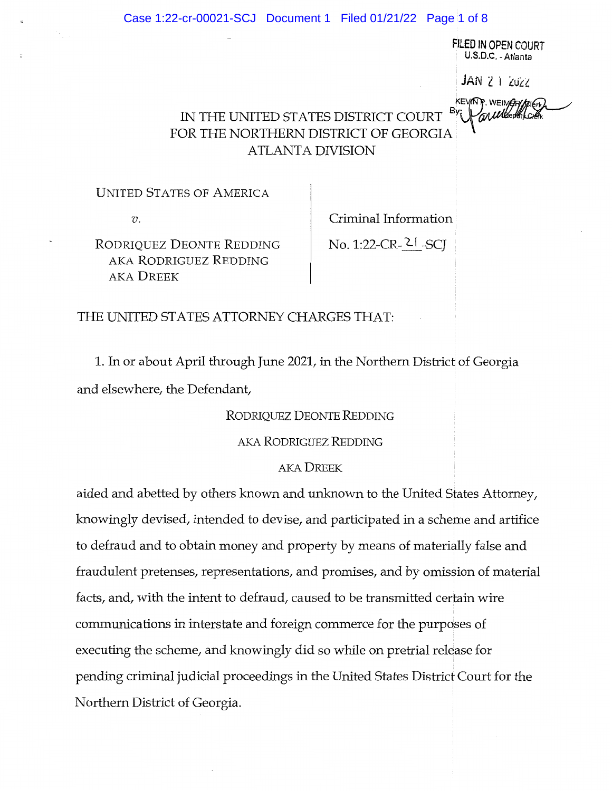Case 1:22-cr-00021-SCJ Document 1 Filed 01/21/22 Page 1 of 8

FILED IN OPEN COURT U.S.D.C.-Atlanta JAN 2 1 ZUZZ KEVINF. WEINGRYA

# IN THE UNITED STATES DISTRICT COURT FOR THE NORTHERN DISTRICT OF GEORGIA ATLANTA DIVISION

UNITED STATES OF AMERICA

V.

Criminal Information

RODRIQUEZ DEONTE REDDING AKA RODRIGUEZ REDDING AKA DREEK

No. 1:22-CR-21 -SCJ

## THE UNITED STATES ATTORNEY CHARGES THAT:

1. In or about April through June 2021, in the Northern District of Georgia and elsewhere, the Defendant,

RODRIQUEZ DEONTE REDDING

AKA RODmGUEZ REDDING

## AKA DREEK

aided and abetted by others known and unknown to the United States Attorney, knowingly devised, intended to devise, and participated in a scheme and artifice to defraud and to obtain money and property by means of materially false and fraudulent pretenses, representations, and promises, and by omission of material facts, and, with the intent to defraud, caused to be transmitted certain wire communications in interstate and foreign commerce for the purposes of executing the scheme, and knowingly did so while on pretrial release for pending criminal judicial proceedings in the United States District Court for the Northern District of Georgia.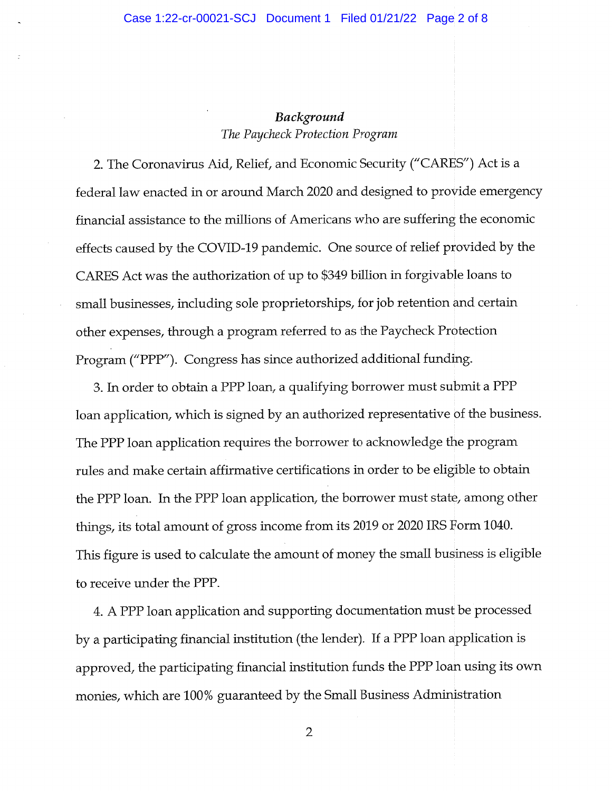## Background The Paycheck Protection Program

2. The Coronavirus Aid, Relief, and Economic Security ("CARES") Act is a federal law enacted in or around March 2020 and designed to provide emergency financial assistance to the millions of Americans who are suffering the economic effects caused by the COVID-19 pandemic. One source of relief provided by the CARES Act was the authorization of up to \$349 billion in forgivable loans to small businesses, including sole proprietorships, for job retention and certain other expenses, through a program referred to as the Paycheck Protection Program ("PPP"). Congress has since authorized additional funding.

3. In order to obtain a PPP loan, a qualifying borrower must submit a PPP loan application, which is signed by an authorized representative of the business. The PPP loan application requires the borrower to acknowledge the program rules and make certain affirmative certifications in order to be eligible to obtain the PPP loan. In the PPP loan application, the borrower must state, among other things, its total amount of gross income from its 2019 or 2020 IRS Form 1040. This figure is used to calculate the amount of money the small business is eligible to receive under the PPP.

4. A PPP loan application and supporting documentation must be processed by a participating financial institution (the lender). If a PPP loan application is approved, the participating financial institution funds the PPP loan using its own monies, which are 100% guaranteed by the Small Business Administration

 $\overline{2}$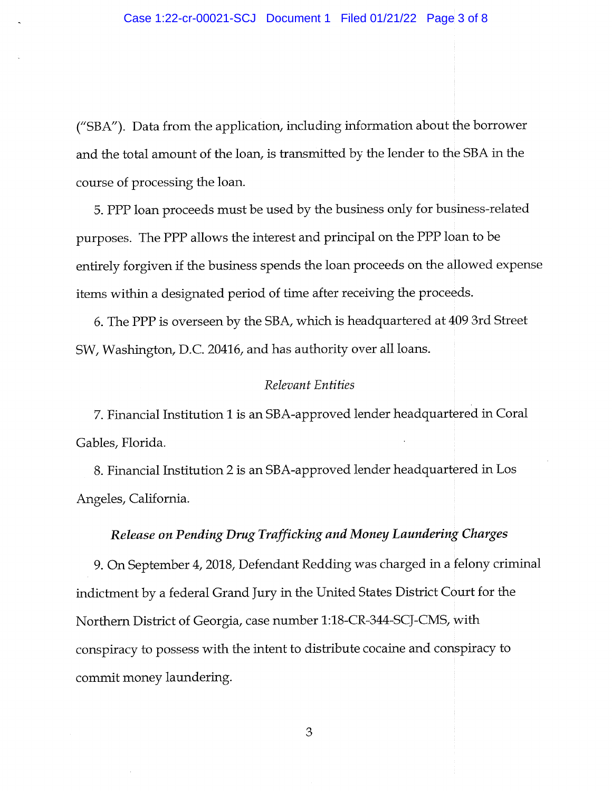("SBA"). Data from the application, including information about the borrower and the total amount of the loan, is transmitted by the lender to the SBA in the course of processing the loan.

5. PPP loan proceeds must be used by the business only for bustness-related purposes. The PPP aUows the interest and principal on the PPP loan to be entirely forgiven if the business spends the loan proceeds on the allowed expense items within a designated period of time after receiving the proceeds.

6. The PPP is overseen by the SBA/ which is headquartered at 409 3rd Street SW, Washington, D.C. 20416, and has authority over all loans.

## Relevant Entities

7. Financial Institution 1 is an SBA-approved lender headquartered in Coral Gables, Florida.

8. Financial Institution 2 is an SBA-approved lender headquartered in Los Angeles, California.

## Release on Pending Drug Trafficking and Money Laundering Charges

9. On September 4,2018, Defendant Redding was charged in a felony criminal indictment by a federal Grand Jury in the United States District Court for the Northern District of Georgia, case number 1:18-CR-344-SCJ-CMS/ with conspiracy to possess with the intent to distribute cocaine and conspiracy to commit money laundering.

3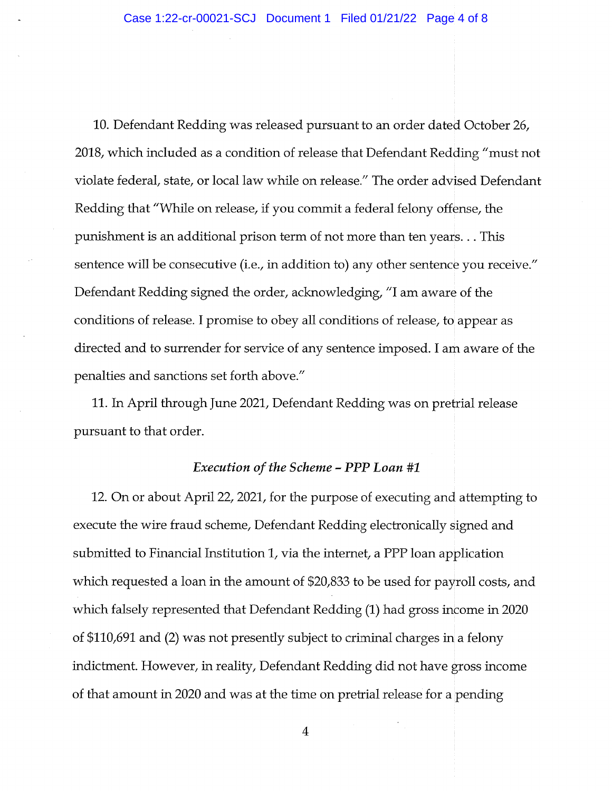10. Defendant Redding was released pursuant to an order dated October 26, 2018, which included as a condition of release that Defendant Redding "must not violate federal, state, or local law while on release." The order advised Defendant Redding that "While on release, if you commit a federal felony offense, the punishment is an additional prison term of not more than ten years... This sentence will be consecutive (i.e., in addition to) any other sentence you receive." Defendant Redding signed the order, acknowledging, "I am aware of the conditions of release. I promise to obey all conditions of release, to appear as directed and to surrender for service of any sentence imposed. I am aware of the penalties and sanctions set forth above."

11. Ln April through June 2021, Defendant Redding was on pretrial release pursuant to that order.

#### Execution of the Scheme - PPP Loan #1

12. On or about April 22, 2021, for the purpose of executing and attempting to execute the wire fraud scheme, Defendant Redding electronically signed and submitted to Financial Institution 1, via the internet, a PPP loan application which requested a loan in the amount of  $$20,833$  to be used for payroll costs, and which falsely represented that Defendant Redding (1) had gross income in 2020 of \$110,691 and (2) was not presently subject to criminal charges in a felony indictment. However, in reality, Defendant Redding did not have gross income of that amount in 2020 and was at the time on pretrial release for a pending

 $\overline{4}$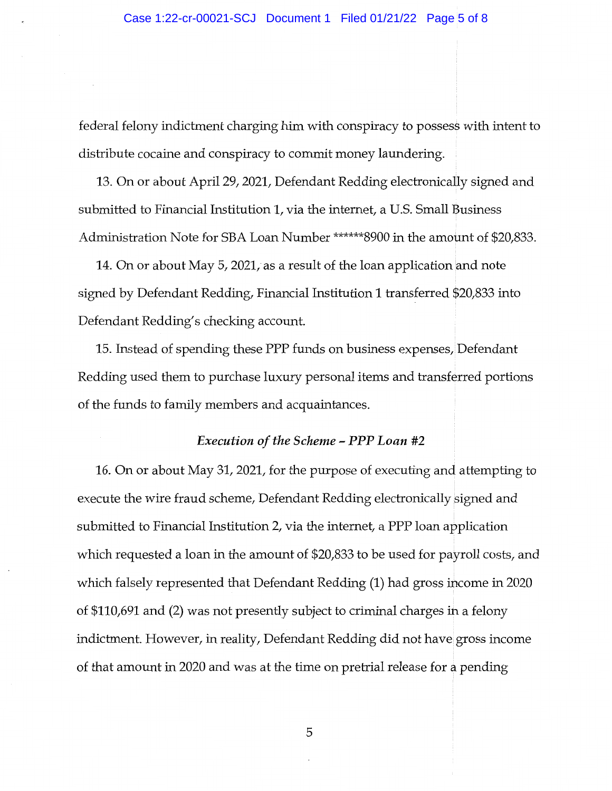federal felony indictment charging him with conspiracy to possess with intent to distribute cocaine and conspiracy to commit money laundering.

13. On or about April 29, 2021, Defendant Redding electronically signed and submitted to Financial Institution 1, via the internet, a U.S. Small Business Administration Note for SBA Loan Number \*\*\*\*\*\*8900 in the amount of \$20/833.

14. On or about May 5/ 2021, as a result of the loan application and note signed by Defendant Redding/ Financial Institution 1 transferred \$20,833 into Defendant Redding/s checking account.

15. Instead of spending these PPP funds on business expenses/ Defendant Redding used them to purchase luxury personal items and transferred portions of the funds to family members and acquaintances.

#### Execution of the Scheme - PPP Loan #2

16. On or about May 31, 2021, for the purpose of executing and attempting to execute the wire fraud scheme, Defendant Redding electronically signed and submitted to Financial Institution 1, via the internet, a PPP loan application which requested a loan in the amount of \$20,833 to be used for payroll costs, and which falsely represented that Defendant Redding (1) had gross income in 2020 of \$110/691 and (2) was not presently subject to criminal charges in a felony indictment. However, in reality, Defendant Redding did not have gross income of that amount in 2020 and was at the time on pretrial release for a pending

5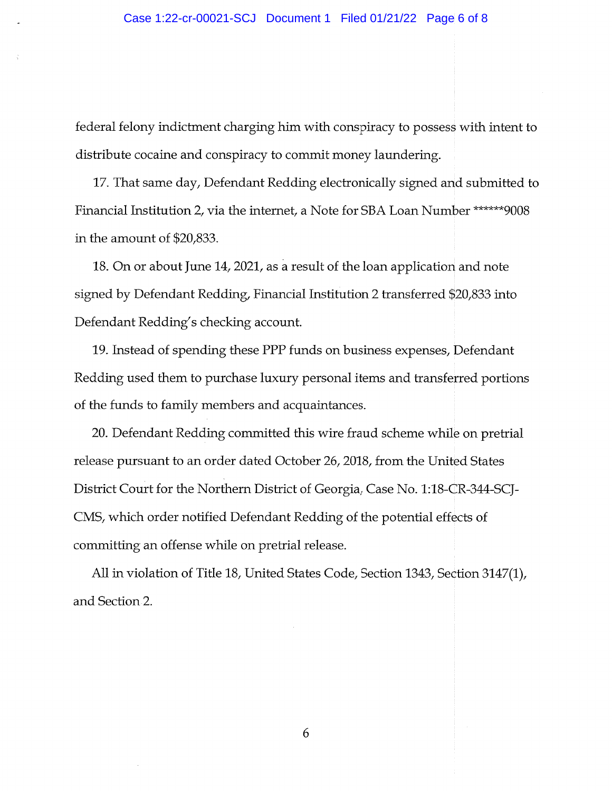federal felony indictment charging him with conspiracy to possess with intent to distribute cocaine and conspiracy to commit money laundering.

17. That same day. Defendant Redding electronically signed and submitted to Financial Institution 2, via the internet, a Note for SBA Loan Number \*\*\*\*\*\*9008 in the amount of \$20/833.

18. On or about June 14, 2021, as a result of the loan application and note signed by Defendant Redding, Financial Institution 2 transferred \$20/833 into Defendant Redding's checking account.

19. instead of spending these PPP funds on business expenses, Defendant Redding used them to purchase luxury personal items and transferred portions of the funds to fanuly members and acquaintances.

20. Defendant Redding committed this wire fraud scheme while on pretrial release pursuant to an order dated October 26,2018, from the United States District Court for the Northern District of Georgia, Case No. 1:18-CR-344-SCJ-CMS, which order notified Defendant Redding of the potential effects of committing an offense while on pretrial release.

All in violation of Title 18, United States Code, Section 1343, Section 3147(1), and Section 2.

6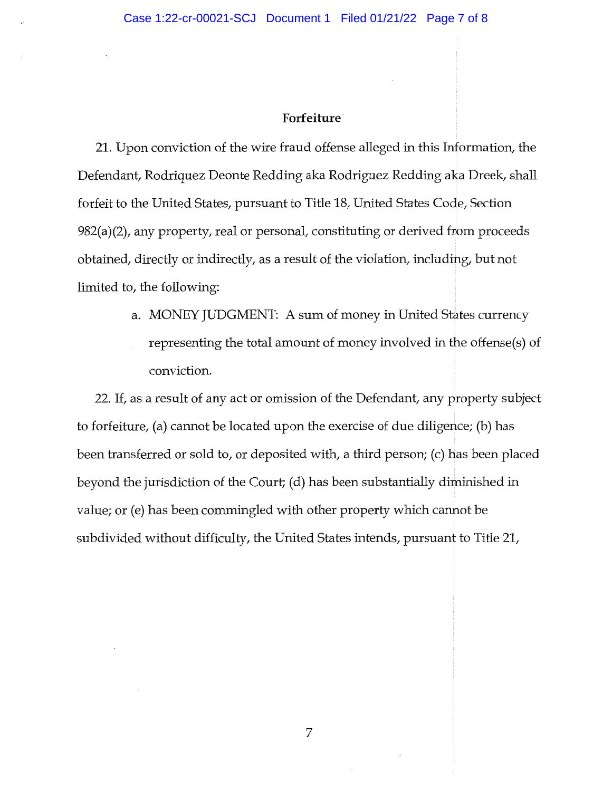#### Forfeiture

21. Upon conviction of the wire fraud offense alleged in this Information, the Defendant, Rodriquez Deonte Redding aka Rodriguez Redding aka Dreek, shall forfeit to the United States, pursuant to Title 18, United States Code, Section  $982(a)(2)$ , any property, real or personal, constituting or derived from proceeds obtained, directly or indirectly, as a result of the violation, including, but not limited to, the following:

> a. MONEY JUDGMENT: A sum of money in United States currency representing the total amount of money involved in the offense(s) of conviction.

22. If, as a result of any act or omission of the Defendant, any property subject to forfeiture, (a) cannot be located upon the exercise of due diligence; (b) has been transferred or sold to, or deposited with, a third person; (c) has been placed beyond the jurisdiction of the Court; (d) has been substantially diminished in value; or (e) has been commingled with other property which cannot be subdivided without difficulty, the United States intends, pursuant to Title 21,